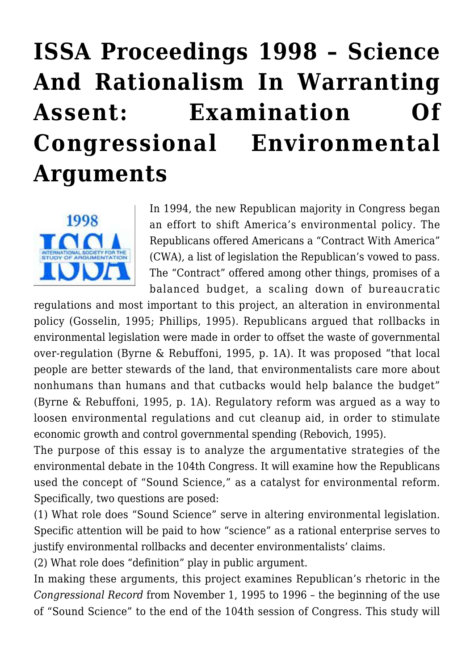# **[ISSA Proceedings 1998 – Science](https://rozenbergquarterly.com/issa-proceedings-1998-science-and-rationalism-in-warranting-assent-examination-of-congressional-environmental-arguments/) [And Rationalism In Warranting](https://rozenbergquarterly.com/issa-proceedings-1998-science-and-rationalism-in-warranting-assent-examination-of-congressional-environmental-arguments/) [Assent: Examination Of](https://rozenbergquarterly.com/issa-proceedings-1998-science-and-rationalism-in-warranting-assent-examination-of-congressional-environmental-arguments/) [Congressional Environmental](https://rozenbergquarterly.com/issa-proceedings-1998-science-and-rationalism-in-warranting-assent-examination-of-congressional-environmental-arguments/) [Arguments](https://rozenbergquarterly.com/issa-proceedings-1998-science-and-rationalism-in-warranting-assent-examination-of-congressional-environmental-arguments/)**



In 1994, the new Republican majority in Congress began an effort to shift America's environmental policy. The Republicans offered Americans a "Contract With America" (CWA), a list of legislation the Republican's vowed to pass. The "Contract" offered among other things, promises of a balanced budget, a scaling down of bureaucratic

regulations and most important to this project, an alteration in environmental policy (Gosselin, 1995; Phillips, 1995). Republicans argued that rollbacks in environmental legislation were made in order to offset the waste of governmental over-regulation (Byrne & Rebuffoni, 1995, p. 1A). It was proposed "that local people are better stewards of the land, that environmentalists care more about nonhumans than humans and that cutbacks would help balance the budget" (Byrne & Rebuffoni, 1995, p. 1A). Regulatory reform was argued as a way to loosen environmental regulations and cut cleanup aid, in order to stimulate economic growth and control governmental spending (Rebovich, 1995).

The purpose of this essay is to analyze the argumentative strategies of the environmental debate in the 104th Congress. It will examine how the Republicans used the concept of "Sound Science," as a catalyst for environmental reform. Specifically, two questions are posed:

(1) What role does "Sound Science" serve in altering environmental legislation. Specific attention will be paid to how "science" as a rational enterprise serves to justify environmental rollbacks and decenter environmentalists' claims.

(2) What role does "definition" play in public argument.

In making these arguments, this project examines Republican's rhetoric in the *Congressional Record* from November 1, 1995 to 1996 – the beginning of the use of "Sound Science" to the end of the 104th session of Congress. This study will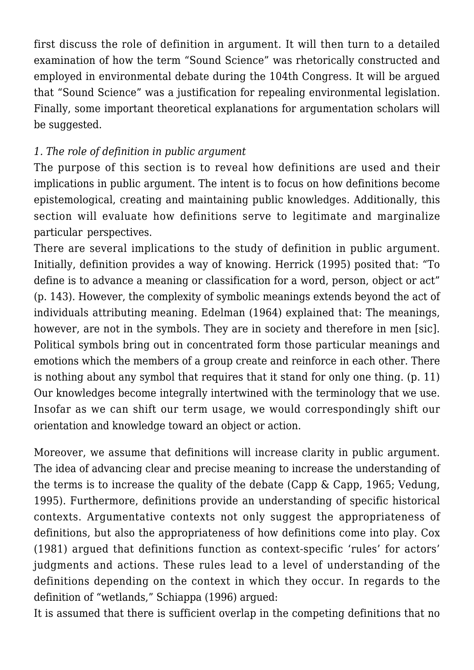first discuss the role of definition in argument. It will then turn to a detailed examination of how the term "Sound Science" was rhetorically constructed and employed in environmental debate during the 104th Congress. It will be argued that "Sound Science" was a justification for repealing environmental legislation. Finally, some important theoretical explanations for argumentation scholars will be suggested.

# *1. The role of definition in public argument*

The purpose of this section is to reveal how definitions are used and their implications in public argument. The intent is to focus on how definitions become epistemological, creating and maintaining public knowledges. Additionally, this section will evaluate how definitions serve to legitimate and marginalize particular perspectives.

There are several implications to the study of definition in public argument. Initially, definition provides a way of knowing. Herrick (1995) posited that: "To define is to advance a meaning or classification for a word, person, object or act" (p. 143). However, the complexity of symbolic meanings extends beyond the act of individuals attributing meaning. Edelman (1964) explained that: The meanings, however, are not in the symbols. They are in society and therefore in men [sic]. Political symbols bring out in concentrated form those particular meanings and emotions which the members of a group create and reinforce in each other. There is nothing about any symbol that requires that it stand for only one thing. (p. 11) Our knowledges become integrally intertwined with the terminology that we use. Insofar as we can shift our term usage, we would correspondingly shift our orientation and knowledge toward an object or action.

Moreover, we assume that definitions will increase clarity in public argument. The idea of advancing clear and precise meaning to increase the understanding of the terms is to increase the quality of the debate (Capp & Capp, 1965; Vedung, 1995). Furthermore, definitions provide an understanding of specific historical contexts. Argumentative contexts not only suggest the appropriateness of definitions, but also the appropriateness of how definitions come into play. Cox (1981) argued that definitions function as context-specific 'rules' for actors' judgments and actions. These rules lead to a level of understanding of the definitions depending on the context in which they occur. In regards to the definition of "wetlands," Schiappa (1996) argued:

It is assumed that there is sufficient overlap in the competing definitions that no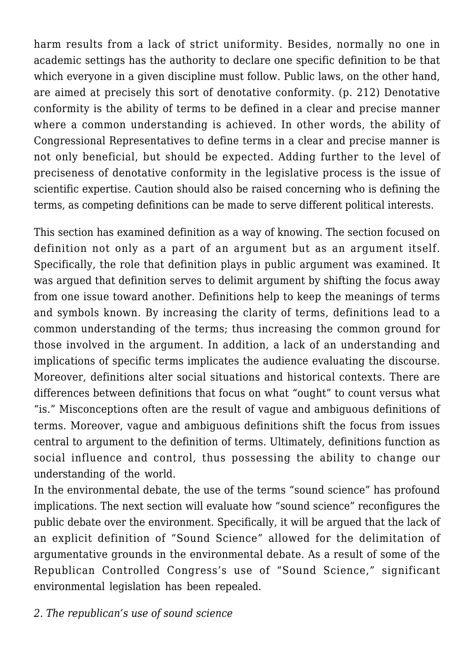harm results from a lack of strict uniformity. Besides, normally no one in academic settings has the authority to declare one specific definition to be that which everyone in a given discipline must follow. Public laws, on the other hand, are aimed at precisely this sort of denotative conformity. (p. 212) Denotative conformity is the ability of terms to be defined in a clear and precise manner where a common understanding is achieved. In other words, the ability of Congressional Representatives to define terms in a clear and precise manner is not only beneficial, but should be expected. Adding further to the level of preciseness of denotative conformity in the legislative process is the issue of scientific expertise. Caution should also be raised concerning who is defining the terms, as competing definitions can be made to serve different political interests.

This section has examined definition as a way of knowing. The section focused on definition not only as a part of an argument but as an argument itself. Specifically, the role that definition plays in public argument was examined. It was argued that definition serves to delimit argument by shifting the focus away from one issue toward another. Definitions help to keep the meanings of terms and symbols known. By increasing the clarity of terms, definitions lead to a common understanding of the terms; thus increasing the common ground for those involved in the argument. In addition, a lack of an understanding and implications of specific terms implicates the audience evaluating the discourse. Moreover, definitions alter social situations and historical contexts. There are differences between definitions that focus on what "ought" to count versus what "is." Misconceptions often are the result of vague and ambiguous definitions of terms. Moreover, vague and ambiguous definitions shift the focus from issues central to argument to the definition of terms. Ultimately, definitions function as social influence and control, thus possessing the ability to change our understanding of the world.

In the environmental debate, the use of the terms "sound science" has profound implications. The next section will evaluate how "sound science" reconfigures the public debate over the environment. Specifically, it will be argued that the lack of an explicit definition of "Sound Science" allowed for the delimitation of argumentative grounds in the environmental debate. As a result of some of the Republican Controlled Congress's use of "Sound Science," significant environmental legislation has been repealed.

*2. The republican's use of sound science*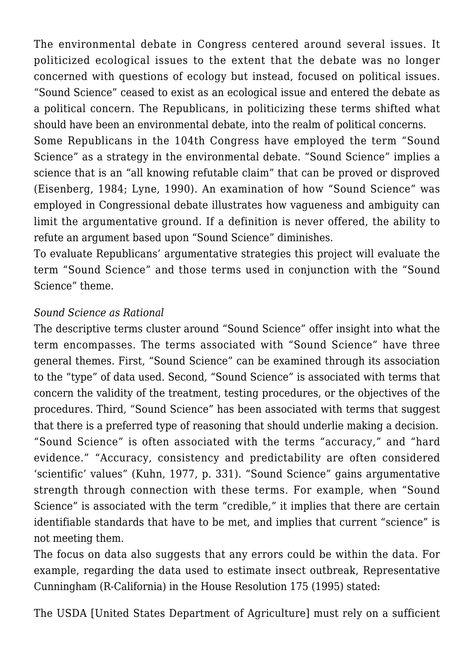The environmental debate in Congress centered around several issues. It politicized ecological issues to the extent that the debate was no longer concerned with questions of ecology but instead, focused on political issues. "Sound Science" ceased to exist as an ecological issue and entered the debate as a political concern. The Republicans, in politicizing these terms shifted what should have been an environmental debate, into the realm of political concerns.

Some Republicans in the 104th Congress have employed the term "Sound Science" as a strategy in the environmental debate. "Sound Science" implies a science that is an "all knowing refutable claim" that can be proved or disproved (Eisenberg, 1984; Lyne, 1990). An examination of how "Sound Science" was employed in Congressional debate illustrates how vagueness and ambiguity can limit the argumentative ground. If a definition is never offered, the ability to refute an argument based upon "Sound Science" diminishes.

To evaluate Republicans' argumentative strategies this project will evaluate the term "Sound Science" and those terms used in conjunction with the "Sound Science" theme.

### *Sound Science as Rational*

The descriptive terms cluster around "Sound Science" offer insight into what the term encompasses. The terms associated with "Sound Science" have three general themes. First, "Sound Science" can be examined through its association to the "type" of data used. Second, "Sound Science" is associated with terms that concern the validity of the treatment, testing procedures, or the objectives of the procedures. Third, "Sound Science" has been associated with terms that suggest that there is a preferred type of reasoning that should underlie making a decision. "Sound Science" is often associated with the terms "accuracy," and "hard evidence." "Accuracy, consistency and predictability are often considered 'scientific' values" (Kuhn, 1977, p. 331). "Sound Science" gains argumentative strength through connection with these terms. For example, when "Sound Science" is associated with the term "credible," it implies that there are certain identifiable standards that have to be met, and implies that current "science" is not meeting them.

The focus on data also suggests that any errors could be within the data. For example, regarding the data used to estimate insect outbreak, Representative Cunningham (R-California) in the House Resolution 175 (1995) stated:

The USDA [United States Department of Agriculture] must rely on a sufficient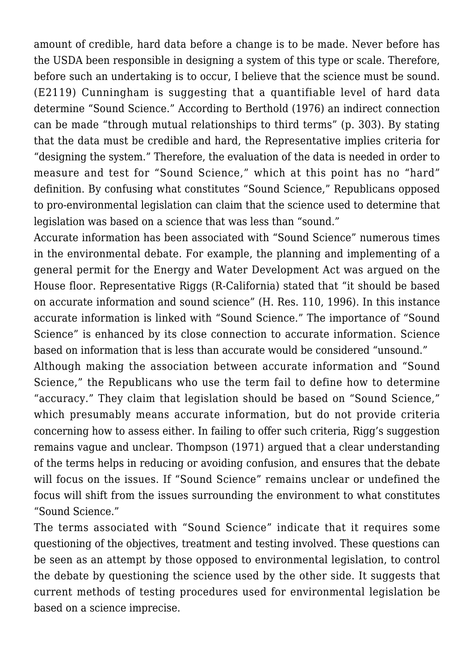amount of credible, hard data before a change is to be made. Never before has the USDA been responsible in designing a system of this type or scale. Therefore, before such an undertaking is to occur, I believe that the science must be sound. (E2119) Cunningham is suggesting that a quantifiable level of hard data determine "Sound Science." According to Berthold (1976) an indirect connection can be made "through mutual relationships to third terms" (p. 303). By stating that the data must be credible and hard, the Representative implies criteria for "designing the system." Therefore, the evaluation of the data is needed in order to measure and test for "Sound Science," which at this point has no "hard" definition. By confusing what constitutes "Sound Science," Republicans opposed to pro-environmental legislation can claim that the science used to determine that legislation was based on a science that was less than "sound."

Accurate information has been associated with "Sound Science" numerous times in the environmental debate. For example, the planning and implementing of a general permit for the Energy and Water Development Act was argued on the House floor. Representative Riggs (R-California) stated that "it should be based on accurate information and sound science" (H. Res. 110, 1996). In this instance accurate information is linked with "Sound Science." The importance of "Sound Science" is enhanced by its close connection to accurate information. Science based on information that is less than accurate would be considered "unsound."

Although making the association between accurate information and "Sound Science," the Republicans who use the term fail to define how to determine "accuracy." They claim that legislation should be based on "Sound Science," which presumably means accurate information, but do not provide criteria concerning how to assess either. In failing to offer such criteria, Rigg's suggestion remains vague and unclear. Thompson (1971) argued that a clear understanding of the terms helps in reducing or avoiding confusion, and ensures that the debate will focus on the issues. If "Sound Science" remains unclear or undefined the focus will shift from the issues surrounding the environment to what constitutes "Sound Science."

The terms associated with "Sound Science" indicate that it requires some questioning of the objectives, treatment and testing involved. These questions can be seen as an attempt by those opposed to environmental legislation, to control the debate by questioning the science used by the other side. It suggests that current methods of testing procedures used for environmental legislation be based on a science imprecise.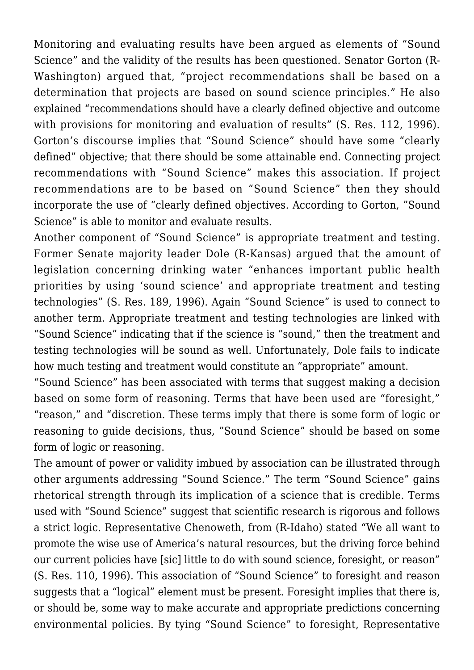Monitoring and evaluating results have been argued as elements of "Sound Science" and the validity of the results has been questioned. Senator Gorton (R-Washington) argued that, "project recommendations shall be based on a determination that projects are based on sound science principles." He also explained "recommendations should have a clearly defined objective and outcome with provisions for monitoring and evaluation of results" (S. Res. 112, 1996). Gorton's discourse implies that "Sound Science" should have some "clearly defined" objective; that there should be some attainable end. Connecting project recommendations with "Sound Science" makes this association. If project recommendations are to be based on "Sound Science" then they should incorporate the use of "clearly defined objectives. According to Gorton, "Sound Science" is able to monitor and evaluate results.

Another component of "Sound Science" is appropriate treatment and testing. Former Senate majority leader Dole (R-Kansas) argued that the amount of legislation concerning drinking water "enhances important public health priorities by using 'sound science' and appropriate treatment and testing technologies" (S. Res. 189, 1996). Again "Sound Science" is used to connect to another term. Appropriate treatment and testing technologies are linked with "Sound Science" indicating that if the science is "sound," then the treatment and testing technologies will be sound as well. Unfortunately, Dole fails to indicate how much testing and treatment would constitute an "appropriate" amount.

"Sound Science" has been associated with terms that suggest making a decision based on some form of reasoning. Terms that have been used are "foresight," "reason," and "discretion. These terms imply that there is some form of logic or reasoning to guide decisions, thus, "Sound Science" should be based on some form of logic or reasoning.

The amount of power or validity imbued by association can be illustrated through other arguments addressing "Sound Science." The term "Sound Science" gains rhetorical strength through its implication of a science that is credible. Terms used with "Sound Science" suggest that scientific research is rigorous and follows a strict logic. Representative Chenoweth, from (R-Idaho) stated "We all want to promote the wise use of America's natural resources, but the driving force behind our current policies have [sic] little to do with sound science, foresight, or reason" (S. Res. 110, 1996). This association of "Sound Science" to foresight and reason suggests that a "logical" element must be present. Foresight implies that there is, or should be, some way to make accurate and appropriate predictions concerning environmental policies. By tying "Sound Science" to foresight, Representative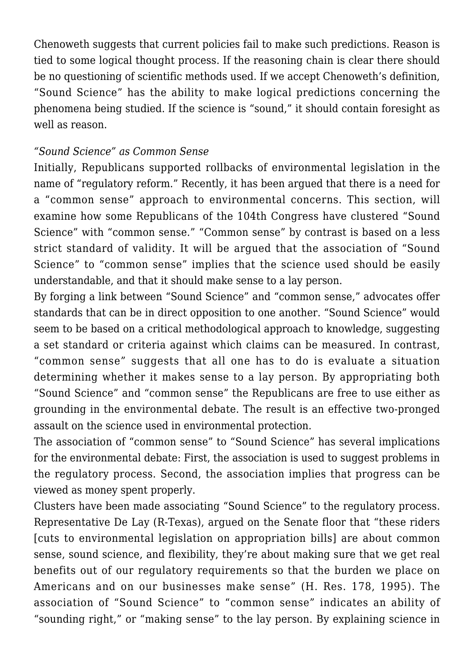Chenoweth suggests that current policies fail to make such predictions. Reason is tied to some logical thought process. If the reasoning chain is clear there should be no questioning of scientific methods used. If we accept Chenoweth's definition, "Sound Science" has the ability to make logical predictions concerning the phenomena being studied. If the science is "sound," it should contain foresight as well as reason.

#### *"Sound Science" as Common Sense*

Initially, Republicans supported rollbacks of environmental legislation in the name of "regulatory reform." Recently, it has been argued that there is a need for a "common sense" approach to environmental concerns. This section, will examine how some Republicans of the 104th Congress have clustered "Sound Science" with "common sense." "Common sense" by contrast is based on a less strict standard of validity. It will be argued that the association of "Sound Science" to "common sense" implies that the science used should be easily understandable, and that it should make sense to a lay person.

By forging a link between "Sound Science" and "common sense," advocates offer standards that can be in direct opposition to one another. "Sound Science" would seem to be based on a critical methodological approach to knowledge, suggesting a set standard or criteria against which claims can be measured. In contrast, "common sense" suggests that all one has to do is evaluate a situation determining whether it makes sense to a lay person. By appropriating both "Sound Science" and "common sense" the Republicans are free to use either as grounding in the environmental debate. The result is an effective two-pronged assault on the science used in environmental protection.

The association of "common sense" to "Sound Science" has several implications for the environmental debate: First, the association is used to suggest problems in the regulatory process. Second, the association implies that progress can be viewed as money spent properly.

Clusters have been made associating "Sound Science" to the regulatory process. Representative De Lay (R-Texas), argued on the Senate floor that "these riders [cuts to environmental legislation on appropriation bills] are about common sense, sound science, and flexibility, they're about making sure that we get real benefits out of our regulatory requirements so that the burden we place on Americans and on our businesses make sense" (H. Res. 178, 1995). The association of "Sound Science" to "common sense" indicates an ability of "sounding right," or "making sense" to the lay person. By explaining science in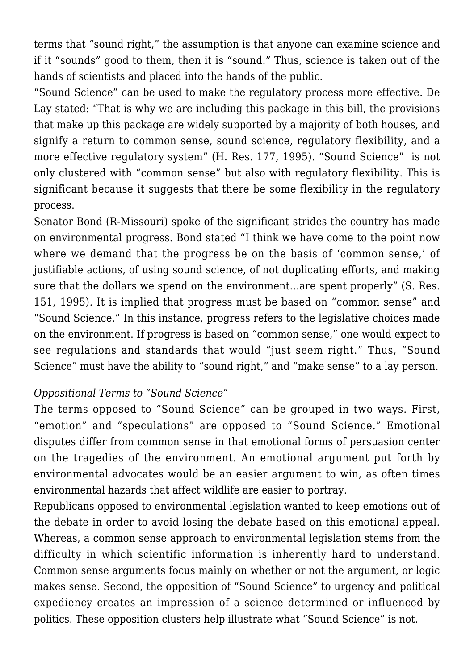terms that "sound right," the assumption is that anyone can examine science and if it "sounds" good to them, then it is "sound." Thus, science is taken out of the hands of scientists and placed into the hands of the public.

"Sound Science" can be used to make the regulatory process more effective. De Lay stated: "That is why we are including this package in this bill, the provisions that make up this package are widely supported by a majority of both houses, and signify a return to common sense, sound science, regulatory flexibility, and a more effective regulatory system" (H. Res. 177, 1995). "Sound Science" is not only clustered with "common sense" but also with regulatory flexibility. This is significant because it suggests that there be some flexibility in the regulatory process.

Senator Bond (R-Missouri) spoke of the significant strides the country has made on environmental progress. Bond stated "I think we have come to the point now where we demand that the progress be on the basis of 'common sense,' of justifiable actions, of using sound science, of not duplicating efforts, and making sure that the dollars we spend on the environment…are spent properly" (S. Res. 151, 1995). It is implied that progress must be based on "common sense" and "Sound Science." In this instance, progress refers to the legislative choices made on the environment. If progress is based on "common sense," one would expect to see regulations and standards that would "just seem right." Thus, "Sound Science" must have the ability to "sound right," and "make sense" to a lay person.

#### *Oppositional Terms to "Sound Science"*

The terms opposed to "Sound Science" can be grouped in two ways. First, "emotion" and "speculations" are opposed to "Sound Science." Emotional disputes differ from common sense in that emotional forms of persuasion center on the tragedies of the environment. An emotional argument put forth by environmental advocates would be an easier argument to win, as often times environmental hazards that affect wildlife are easier to portray.

Republicans opposed to environmental legislation wanted to keep emotions out of the debate in order to avoid losing the debate based on this emotional appeal. Whereas, a common sense approach to environmental legislation stems from the difficulty in which scientific information is inherently hard to understand. Common sense arguments focus mainly on whether or not the argument, or logic makes sense. Second, the opposition of "Sound Science" to urgency and political expediency creates an impression of a science determined or influenced by politics. These opposition clusters help illustrate what "Sound Science" is not.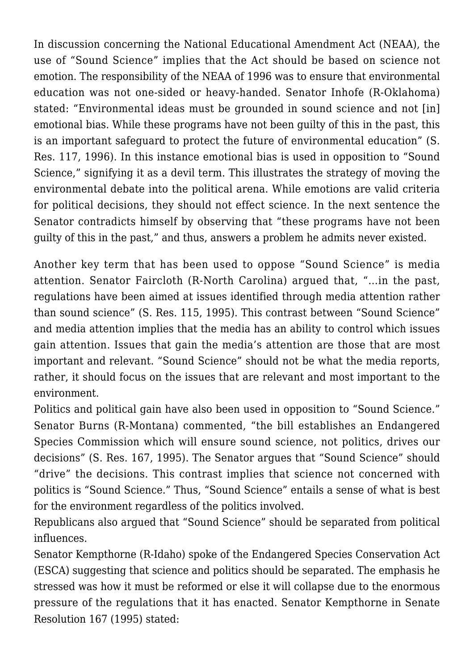In discussion concerning the National Educational Amendment Act (NEAA), the use of "Sound Science" implies that the Act should be based on science not emotion. The responsibility of the NEAA of 1996 was to ensure that environmental education was not one-sided or heavy-handed. Senator Inhofe (R-Oklahoma) stated: "Environmental ideas must be grounded in sound science and not [in] emotional bias. While these programs have not been guilty of this in the past, this is an important safeguard to protect the future of environmental education" (S. Res. 117, 1996). In this instance emotional bias is used in opposition to "Sound Science," signifying it as a devil term. This illustrates the strategy of moving the environmental debate into the political arena. While emotions are valid criteria for political decisions, they should not effect science. In the next sentence the Senator contradicts himself by observing that "these programs have not been guilty of this in the past," and thus, answers a problem he admits never existed.

Another key term that has been used to oppose "Sound Science" is media attention. Senator Faircloth (R-North Carolina) argued that, "…in the past, regulations have been aimed at issues identified through media attention rather than sound science" (S. Res. 115, 1995). This contrast between "Sound Science" and media attention implies that the media has an ability to control which issues gain attention. Issues that gain the media's attention are those that are most important and relevant. "Sound Science" should not be what the media reports, rather, it should focus on the issues that are relevant and most important to the environment.

Politics and political gain have also been used in opposition to "Sound Science." Senator Burns (R-Montana) commented, "the bill establishes an Endangered Species Commission which will ensure sound science, not politics, drives our decisions" (S. Res. 167, 1995). The Senator argues that "Sound Science" should "drive" the decisions. This contrast implies that science not concerned with politics is "Sound Science." Thus, "Sound Science" entails a sense of what is best for the environment regardless of the politics involved.

Republicans also argued that "Sound Science" should be separated from political influences.

Senator Kempthorne (R-Idaho) spoke of the Endangered Species Conservation Act (ESCA) suggesting that science and politics should be separated. The emphasis he stressed was how it must be reformed or else it will collapse due to the enormous pressure of the regulations that it has enacted. Senator Kempthorne in Senate Resolution 167 (1995) stated: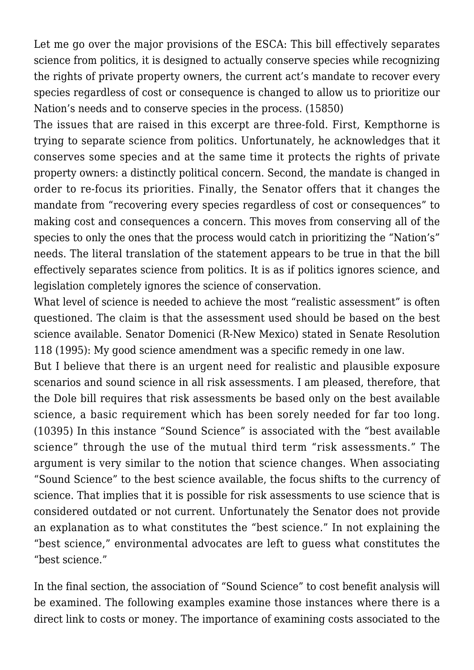Let me go over the major provisions of the ESCA: This bill effectively separates science from politics, it is designed to actually conserve species while recognizing the rights of private property owners, the current act's mandate to recover every species regardless of cost or consequence is changed to allow us to prioritize our Nation's needs and to conserve species in the process. (15850)

The issues that are raised in this excerpt are three-fold. First, Kempthorne is trying to separate science from politics. Unfortunately, he acknowledges that it conserves some species and at the same time it protects the rights of private property owners: a distinctly political concern. Second, the mandate is changed in order to re-focus its priorities. Finally, the Senator offers that it changes the mandate from "recovering every species regardless of cost or consequences" to making cost and consequences a concern. This moves from conserving all of the species to only the ones that the process would catch in prioritizing the "Nation's" needs. The literal translation of the statement appears to be true in that the bill effectively separates science from politics. It is as if politics ignores science, and legislation completely ignores the science of conservation.

What level of science is needed to achieve the most "realistic assessment" is often questioned. The claim is that the assessment used should be based on the best science available. Senator Domenici (R-New Mexico) stated in Senate Resolution 118 (1995): My good science amendment was a specific remedy in one law.

But I believe that there is an urgent need for realistic and plausible exposure scenarios and sound science in all risk assessments. I am pleased, therefore, that the Dole bill requires that risk assessments be based only on the best available science, a basic requirement which has been sorely needed for far too long. (10395) In this instance "Sound Science" is associated with the "best available science" through the use of the mutual third term "risk assessments." The argument is very similar to the notion that science changes. When associating "Sound Science" to the best science available, the focus shifts to the currency of science. That implies that it is possible for risk assessments to use science that is considered outdated or not current. Unfortunately the Senator does not provide an explanation as to what constitutes the "best science." In not explaining the "best science," environmental advocates are left to guess what constitutes the "best science."

In the final section, the association of "Sound Science" to cost benefit analysis will be examined. The following examples examine those instances where there is a direct link to costs or money. The importance of examining costs associated to the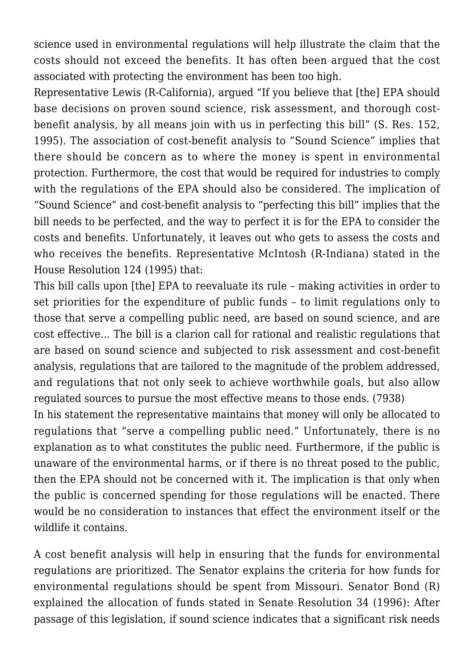science used in environmental regulations will help illustrate the claim that the costs should not exceed the benefits. It has often been argued that the cost associated with protecting the environment has been too high.

Representative Lewis (R-California), argued "If you believe that [the] EPA should base decisions on proven sound science, risk assessment, and thorough costbenefit analysis, by all means join with us in perfecting this bill" (S. Res. 152, 1995). The association of cost-benefit analysis to "Sound Science" implies that there should be concern as to where the money is spent in environmental protection. Furthermore, the cost that would be required for industries to comply with the regulations of the EPA should also be considered. The implication of "Sound Science" and cost-benefit analysis to "perfecting this bill" implies that the bill needs to be perfected, and the way to perfect it is for the EPA to consider the costs and benefits. Unfortunately, it leaves out who gets to assess the costs and who receives the benefits. Representative McIntosh (R-Indiana) stated in the House Resolution 124 (1995) that:

This bill calls upon [the] EPA to reevaluate its rule – making activities in order to set priorities for the expenditure of public funds – to limit regulations only to those that serve a compelling public need, are based on sound science, and are cost effective… The bill is a clarion call for rational and realistic regulations that are based on sound science and subjected to risk assessment and cost-benefit analysis, regulations that are tailored to the magnitude of the problem addressed, and regulations that not only seek to achieve worthwhile goals, but also allow regulated sources to pursue the most effective means to those ends. (7938)

In his statement the representative maintains that money will only be allocated to regulations that "serve a compelling public need." Unfortunately, there is no explanation as to what constitutes the public need. Furthermore, if the public is unaware of the environmental harms, or if there is no threat posed to the public, then the EPA should not be concerned with it. The implication is that only when the public is concerned spending for those regulations will be enacted. There would be no consideration to instances that effect the environment itself or the wildlife it contains.

A cost benefit analysis will help in ensuring that the funds for environmental regulations are prioritized. The Senator explains the criteria for how funds for environmental regulations should be spent from Missouri. Senator Bond (R) explained the allocation of funds stated in Senate Resolution 34 (1996): After passage of this legislation, if sound science indicates that a significant risk needs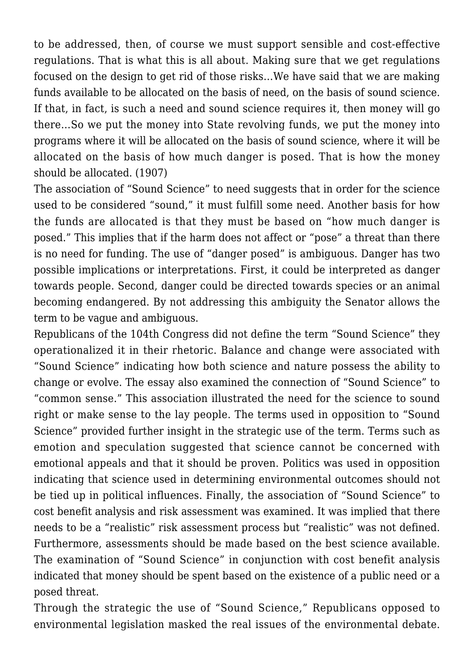to be addressed, then, of course we must support sensible and cost-effective regulations. That is what this is all about. Making sure that we get regulations focused on the design to get rid of those risks...We have said that we are making funds available to be allocated on the basis of need, on the basis of sound science. If that, in fact, is such a need and sound science requires it, then money will go there…So we put the money into State revolving funds, we put the money into programs where it will be allocated on the basis of sound science, where it will be allocated on the basis of how much danger is posed. That is how the money should be allocated. (1907)

The association of "Sound Science" to need suggests that in order for the science used to be considered "sound," it must fulfill some need. Another basis for how the funds are allocated is that they must be based on "how much danger is posed." This implies that if the harm does not affect or "pose" a threat than there is no need for funding. The use of "danger posed" is ambiguous. Danger has two possible implications or interpretations. First, it could be interpreted as danger towards people. Second, danger could be directed towards species or an animal becoming endangered. By not addressing this ambiguity the Senator allows the term to be vague and ambiguous.

Republicans of the 104th Congress did not define the term "Sound Science" they operationalized it in their rhetoric. Balance and change were associated with "Sound Science" indicating how both science and nature possess the ability to change or evolve. The essay also examined the connection of "Sound Science" to "common sense." This association illustrated the need for the science to sound right or make sense to the lay people. The terms used in opposition to "Sound Science" provided further insight in the strategic use of the term. Terms such as emotion and speculation suggested that science cannot be concerned with emotional appeals and that it should be proven. Politics was used in opposition indicating that science used in determining environmental outcomes should not be tied up in political influences. Finally, the association of "Sound Science" to cost benefit analysis and risk assessment was examined. It was implied that there needs to be a "realistic" risk assessment process but "realistic" was not defined. Furthermore, assessments should be made based on the best science available. The examination of "Sound Science" in conjunction with cost benefit analysis indicated that money should be spent based on the existence of a public need or a posed threat.

Through the strategic the use of "Sound Science," Republicans opposed to environmental legislation masked the real issues of the environmental debate.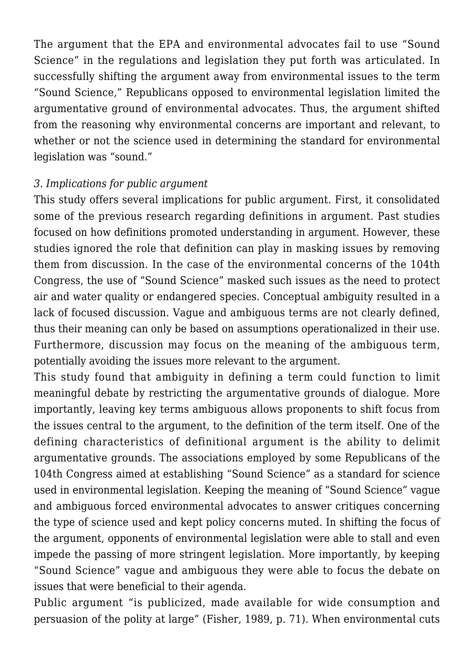The argument that the EPA and environmental advocates fail to use "Sound Science" in the regulations and legislation they put forth was articulated. In successfully shifting the argument away from environmental issues to the term "Sound Science," Republicans opposed to environmental legislation limited the argumentative ground of environmental advocates. Thus, the argument shifted from the reasoning why environmental concerns are important and relevant, to whether or not the science used in determining the standard for environmental legislation was "sound."

#### *3. Implications for public argument*

This study offers several implications for public argument. First, it consolidated some of the previous research regarding definitions in argument. Past studies focused on how definitions promoted understanding in argument. However, these studies ignored the role that definition can play in masking issues by removing them from discussion. In the case of the environmental concerns of the 104th Congress, the use of "Sound Science" masked such issues as the need to protect air and water quality or endangered species. Conceptual ambiguity resulted in a lack of focused discussion. Vague and ambiguous terms are not clearly defined, thus their meaning can only be based on assumptions operationalized in their use. Furthermore, discussion may focus on the meaning of the ambiguous term, potentially avoiding the issues more relevant to the argument.

This study found that ambiguity in defining a term could function to limit meaningful debate by restricting the argumentative grounds of dialogue. More importantly, leaving key terms ambiguous allows proponents to shift focus from the issues central to the argument, to the definition of the term itself. One of the defining characteristics of definitional argument is the ability to delimit argumentative grounds. The associations employed by some Republicans of the 104th Congress aimed at establishing "Sound Science" as a standard for science used in environmental legislation. Keeping the meaning of "Sound Science" vague and ambiguous forced environmental advocates to answer critiques concerning the type of science used and kept policy concerns muted. In shifting the focus of the argument, opponents of environmental legislation were able to stall and even impede the passing of more stringent legislation. More importantly, by keeping "Sound Science" vague and ambiguous they were able to focus the debate on issues that were beneficial to their agenda.

Public argument "is publicized, made available for wide consumption and persuasion of the polity at large" (Fisher, 1989, p. 71). When environmental cuts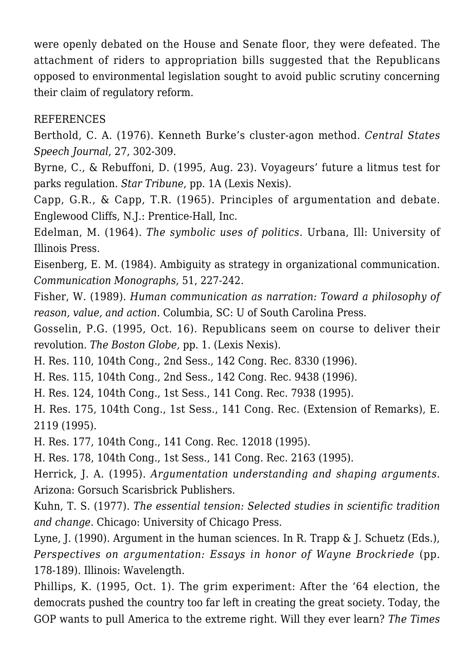were openly debated on the House and Senate floor, they were defeated. The attachment of riders to appropriation bills suggested that the Republicans opposed to environmental legislation sought to avoid public scrutiny concerning their claim of regulatory reform.

## REFERENCES

Berthold, C. A. (1976). Kenneth Burke's cluster-agon method. *Central States Speech Journal*, 27, 302-309.

Byrne, C., & Rebuffoni, D. (1995, Aug. 23). Voyageurs' future a litmus test for parks regulation. *Star Tribune*, pp. 1A (Lexis Nexis).

Capp, G.R., & Capp, T.R. (1965). Principles of argumentation and debate. Englewood Cliffs, N.J.: Prentice-Hall, Inc.

Edelman, M. (1964). *The symbolic uses of politics.* Urbana, Ill: University of Illinois Press.

Eisenberg, E. M. (1984). Ambiguity as strategy in organizational communication. *Communication Monographs*, 51, 227-242.

Fisher, W. (1989). *Human communication as narration: Toward a philosophy of reason, value, and action.* Columbia, SC: U of South Carolina Press.

Gosselin, P.G. (1995, Oct. 16). Republicans seem on course to deliver their revolution. *The Boston Globe,* pp. 1. (Lexis Nexis).

H. Res. 110, 104th Cong., 2nd Sess., 142 Cong. Rec. 8330 (1996).

H. Res. 115, 104th Cong., 2nd Sess., 142 Cong. Rec. 9438 (1996).

H. Res. 124, 104th Cong., 1st Sess., 141 Cong. Rec. 7938 (1995).

H. Res. 175, 104th Cong., 1st Sess., 141 Cong. Rec. (Extension of Remarks), E. 2119 (1995).

H. Res. 177, 104th Cong., 141 Cong. Rec. 12018 (1995).

H. Res. 178, 104th Cong., 1st Sess., 141 Cong. Rec. 2163 (1995).

Herrick, J. A. (1995). *Argumentation understanding and shaping arguments*. Arizona: Gorsuch Scarisbrick Publishers.

Kuhn, T. S. (1977). *The essential tension: Selected studies in scientific tradition and change*. Chicago: University of Chicago Press.

Lyne, J. (1990). Argument in the human sciences. In R. Trapp & J. Schuetz (Eds.), *Perspectives on argumentation: Essays in honor of Wayne Brockriede* (pp. 178-189). Illinois: Wavelength.

Phillips, K. (1995, Oct. 1). The grim experiment: After the '64 election, the democrats pushed the country too far left in creating the great society. Today, the GOP wants to pull America to the extreme right. Will they ever learn? *The Times*